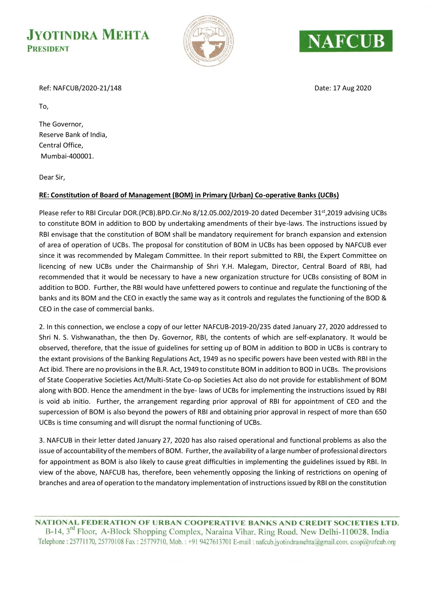## **JYOTINDRA MEHTA PRESIDENT**





Ref: NAFCUB/2020-21/148 Date: 17 Aug 2020

The Governor, Reserve Bank of India, Central Office, Mumbai-400001.

Dear Sir,

To,

## **RE: Constitution of Board of Management (BOM) in Primary (Urban) Co-operative Banks (UCBs)**

Please refer to RBI Circular DOR.(PCB).BPD.Cir.No 8/12.05.002/2019-20 dated December 31<sup>st</sup>,2019 advising UCBs to constitute BOM in addition to BOD by undertaking amendments of their bye-laws. The instructions issued by RBI envisage that the constitution of BOM shall be mandatory requirement for branch expansion and extension of area of operation of UCBs. The proposal for constitution of BOM in UCBs has been opposed by NAFCUB ever since it was recommended by Malegam Committee. In their report submitted to RBI, the Expert Committee on licencing of new UCBs under the Chairmanship of Shri Y.H. Malegam, Director, Central Board of RBI, had recommended that it would be necessary to have a new organization structure for UCBs consisting of BOM in addition to BOD. Further, the RBI would have unfettered powers to continue and regulate the functioning of the banks and its BOM and the CEO in exactly the same way as it controls and regulates the functioning of the BOD & CEO in the case of commercial banks.

2. In this connection, we enclose a copy of our letter NAFCUB-2019-20/235 dated January 27, 2020 addressed to Shri N. S. Vishwanathan, the then Dy. Governor, RBI, the contents of which are self-explanatory. It would be observed, therefore, that the issue of guidelines for setting up of BOM in addition to BOD in UCBs is contrary to the extant provisions of the Banking Regulations Act, 1949 as no specific powers have been vested with RBI in the Act ibid. There are no provisions in the B.R. Act, 1949 to constitute BOM in addition to BOD in UCBs. The provisions of State Cooperative Societies Act/Multi-State Co-op Societies Act also do not provide for establishment of BOM along with BOD. Hence the amendment in the bye- laws of UCBs for implementing the instructions issued by RBI is void ab initio. Further, the arrangement regarding prior approval of RBI for appointment of CEO and the supercession of BOM is also beyond the powers of RBI and obtaining prior approval in respect of more than 650 UCBs is time consuming and will disrupt the normal functioning of UCBs.

3. NAFCUB in their letter dated January 27, 2020 has also raised operational and functional problems as also the issue of accountability of the members of BOM. Further, the availability of a large number of professional directors for appointment as BOM is also likely to cause great difficulties in implementing the guidelines issued by RBI. In view of the above, NAFCUB has, therefore, been vehemently opposing the linking of restrictions on opening of branches and area of operation to the mandatory implementation of instructions issued by RBI on the constitution

NATIONAL FEDERATION OF URBAN COOPERATIVE BANKS AND CREDIT SOCIETIES LTD. B-14, 3<sup>rd</sup> Floor, A-Block Shopping Complex, Naraina Vihar, Ring Road, New Delhi-110028, India Telephone: 25771170, 25770108 Fax: 25779710, Mob.: +91 9427613701 E-mail: nafcub.jyotindramehta@gmail.com.coop@nafcub.org